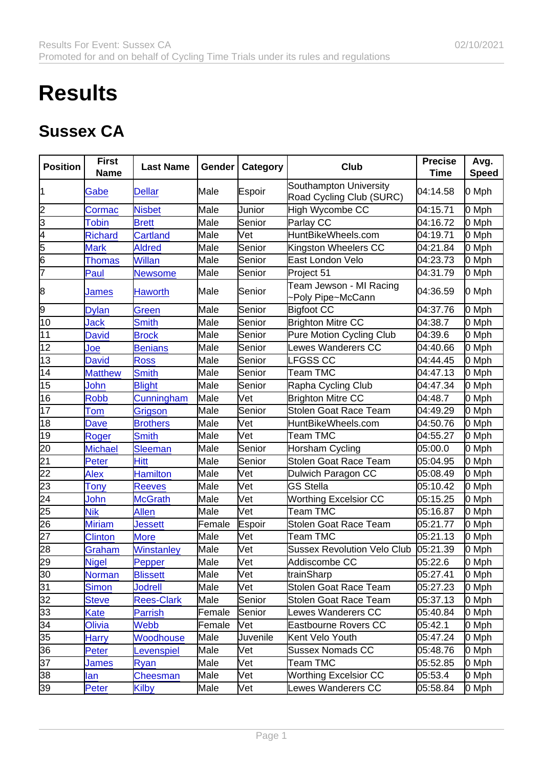## **Results**

## Sussex CA

| Position                                              | First<br>Name  | Last Name         | Gender | Category   | Club                                               | Precise<br>Time | Avg.<br>Speed |
|-------------------------------------------------------|----------------|-------------------|--------|------------|----------------------------------------------------|-----------------|---------------|
|                                                       | Gabe           | <b>Dellar</b>     | Male   | Espoir     | Southampton University<br>Road Cycling Club (SURC) | 04:14.58        | 0 Mph         |
|                                                       | Cormac         | <b>Nisbet</b>     | Male   | Junior     | High Wycombe CC                                    | 04:15.71        | 0 Mph         |
| $\frac{2}{5}$                                         | Tobin          | <b>Brett</b>      | Male   | Senior     | Parlay CC                                          | 04:16.72        | 0 Mph         |
|                                                       | <b>Richard</b> | <b>Cartland</b>   | Male   | Vet        | HuntBikeWheels.com                                 | 04:19.71        | 0 Mph         |
|                                                       | <b>Mark</b>    | <b>Aldred</b>     | Male   | Senior     | Kingston Wheelers CC                               | 04:21.84        | 0 Mph         |
| $\frac{6}{7}$                                         | <b>Thomas</b>  | <b>Willan</b>     | Male   | Senior     | East London Velo                                   | 04:23.73        | 0 Mph         |
|                                                       | Paul           | <b>Newsome</b>    | Male   | Senior     | Project 51                                         | 04:31.79        | 0 Mph         |
| 8                                                     | James          | Haworth           | Male   | Senior     | Team Jewson - MI Racing<br>-Poly Pipe~McCann       | 04:36.59        | 0 Mph         |
| 9                                                     | <b>Dylan</b>   | Green             | Male   | Senior     | Bigfoot CC                                         | 04:37.76        | 0 Mph         |
| $\overline{10}$                                       | Jack           | <b>Smith</b>      | Male   | Senior     | <b>Brighton Mitre CC</b>                           | 04:38.7         | 0 Mph         |
| $\overline{11}$                                       | <b>David</b>   | <b>Brock</b>      | Male   | Senior     | Pure Motion Cycling Club                           | 04:39.6         | 0 Mph         |
| $\overline{12}$                                       | Joe            | Benians           | Male   | Senior     | Lewes Wanderers CC                                 | 04:40.66        | 0 Mph         |
| $\overline{13}$                                       | <b>David</b>   | <b>Ross</b>       | Male   | Senior     | <b>LFGSS CC</b>                                    | 04:44.45        | 0 Mph         |
| $\overline{14}$                                       | <b>Matthew</b> | Smith             | Male   | Senior     | Team TMC                                           | 04:47.13        | 0 Mph         |
| $\overline{15}$                                       | John           | <b>Blight</b>     | Male   | Senior     | Rapha Cycling Club                                 | 04:47.34        | 0 Mph         |
| $\overline{16}$                                       | <b>Robb</b>    | Cunningham        | Male   | Vet        | <b>Brighton Mitre CC</b>                           | 04:48.7         | 0 Mph         |
| $\overline{17}$                                       | Tom            | Grigson           | Male   | Senior     | <b>Stolen Goat Race Team</b>                       | 04:49.29        | 0 Mph         |
| $\overline{18}$                                       | Dave           | <b>Brothers</b>   | Male   | Vet        | HuntBikeWheels.com                                 | 04:50.76        | 0 Mph         |
| $\overline{19}$                                       | Roger          | <b>Smith</b>      | Male   | Vet        | <b>Team TMC</b>                                    | 04:55.27        | 0 Mph         |
| $\frac{20}{21}$                                       | <b>Michael</b> | <b>Sleeman</b>    | Male   | Senior     | Horsham Cycling                                    | 05:00.0         | 0 Mph         |
|                                                       | Peter          | Hitt              | Male   | Senior     | Stolen Goat Race Team                              | 05:04.95        | 0 Mph         |
|                                                       | Alex           | <b>Hamilton</b>   | Male   | Vet        | Dulwich Paragon CC                                 | 05:08.49        | 0 Mph         |
|                                                       | Tony           | <b>Reeves</b>     | Male   | Vet        | <b>GS Stella</b>                                   | 05:10.42        | 0 Mph         |
|                                                       | John           | <b>McGrath</b>    | Male   | Vet        | <b>Worthing Excelsior CC</b>                       | 05:15.25        | 0 Mph         |
|                                                       | <b>Nik</b>     | <b>Allen</b>      | Male   | Vet        | <b>Team TMC</b>                                    | 05:16.87        | 0 Mph         |
| 22 23 24 5<br>24 25 26 7<br>28                        | <b>Miriam</b>  | <b>Jessett</b>    | Female | Espoir     | <b>Stolen Goat Race Team</b>                       | 05:21.77        | 0 Mph         |
|                                                       | <b>Clinton</b> | <b>More</b>       | Male   | [Vet       | Team TMC                                           | 05:21.13        | 0 Mph         |
|                                                       | Graham         | Winstanley        | Male   | Vet        | <b>Sussex Revolution Velo Club</b>                 | 05:21.39        | 0 Mph         |
| 29                                                    | <b>Nigel</b>   | Pepper            | Male   | <b>Vet</b> | Addiscombe CC                                      | 05:22.6         | 0 Mph         |
| $\overline{30}$                                       | Norman         | <b>Blissett</b>   | Male   | Vet        | trainSharp                                         | 05:27.41        | 0 Mph         |
| $\overline{31}$                                       | <b>Simon</b>   | <b>Jodrell</b>    | Male   | Vet        | Stolen Goat Race Team                              | 05:27.23        | 0 Mph         |
|                                                       | <b>Steve</b>   | <b>Rees-Clark</b> | Male   | Senior     | Stolen Goat Race Team                              | 05:37.13        | 0 Mph         |
|                                                       | Kate           | Parrish           | Female | Senior     | Lewes Wanderers CC                                 | 05:40.84        | 0 Mph         |
| $\frac{32}{33}$<br>$\frac{33}{35}$<br>$\frac{34}{36}$ | Olivia         | Webb              | Female | [Vet       | Eastbourne Rovers CC                               | 05:42.1         | 0 Mph         |
|                                                       | Harry          | Woodhouse         | Male   | Juvenile   | Kent Velo Youth                                    | 05:47.24        | 0 Mph         |
|                                                       | Peter          | <b>Levenspiel</b> | Male   | Vet        | <b>Sussex Nomads CC</b>                            | 05:48.76        | 0 Mph         |
| $\overline{37}$                                       | James          | Ryan              | Male   | Vet        | Team TMC                                           | 05:52.85        | 0 Mph         |
| 38                                                    | <u>lan</u>     | <b>Cheesman</b>   | Male   | Vet        | <b>Worthing Excelsior CC</b>                       | 05:53.4         | 0 Mph         |
| $\overline{39}$                                       | Peter          | <b>Kilby</b>      | Male   | Vet        | Lewes Wanderers CC                                 | 05:58.84        | 0 Mph         |